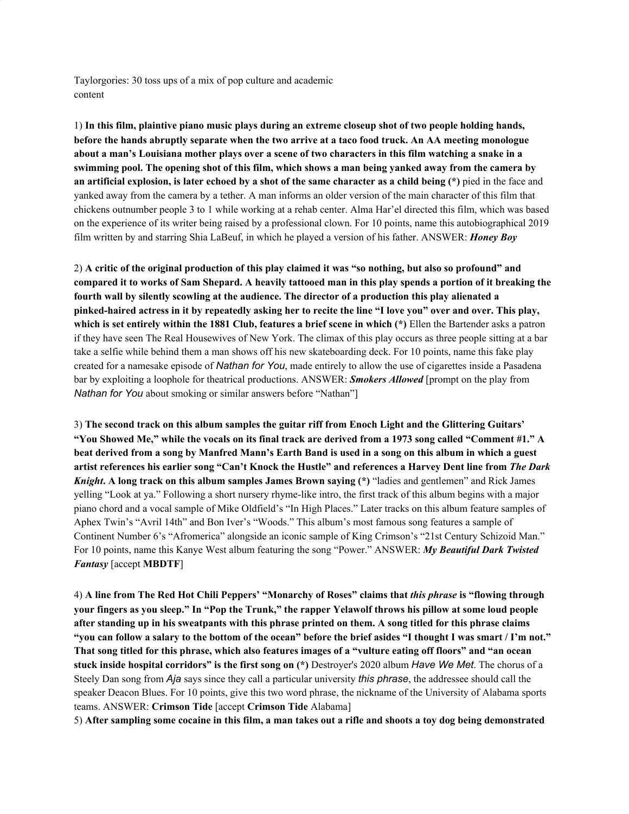Taylorgories: 30 toss ups of a mix of pop culture and academic content

1) **In this film, plaintive piano music plays during an extreme closeup shot of two people holding hands,** before the hands abruptly separate when the two arrive at a taco food truck. An AA meeting monologue about a man's Louisiana mother plays over a scene of two characters in this film watching a snake in a swimming pool. The opening shot of this film, which shows a man being yanked away from the camera by an artificial explosion, is later echoed by a shot of the same character as a child being  $(*)$  pied in the face and yanked away from the camera by a tether. A man informs an older version of the main character of this film that chickens outnumber people 3 to 1 while working at a rehab center. Alma Har'el directed this film, which was based on the experience of its writer being raised by a professional clown. For 10 points, name this autobiographical 2019 film written by and starring Shia LaBeuf, in which he played a version of his father. ANSWER: *Honey Boy*

2) A critic of the original production of this play claimed it was "so nothing, but also so profound" and compared it to works of Sam Shepard. A heavily tattooed man in this play spends a portion of it breaking the **fourth wall by silently scowling at the audience. The director of a production this play alienated a** pinked-haired actress in it by repeatedly asking her to recite the line "I love you" over and over. This play, **which is set entirely within the 1881 Club, features a brief scene in which (\*)** Ellen the Bartender asks a patron if they have seen The Real Housewives of New York. The climax of this play occurs as three people sitting at a bar take a selfie while behind them a man shows off his new skateboarding deck. For 10 points, name this fake play created for a namesake episode of *Nathan for You*, made entirely to allow the use of cigarettes inside a Pasadena bar by exploiting a loophole for theatrical productions. ANSWER: *Smokers Allowed* [prompt on the play from *Nathan for You* about smoking or similar answers before "Nathan"]

3) **The second track on this album samples the guitar riff from Enoch Light and the Glittering Guitars'** "You Showed Me," while the vocals on its final track are derived from a 1973 song called "Comment #1." A beat derived from a song by Manfred Mann's Earth Band is used in a song on this album in which a guest artist references his earlier song "Can't Knock the Hustle" and references a Harvey Dent line from The Dark *Knight***. A long track on this album samples James Brown saying (\*)** "ladies and gentlemen" and Rick James yelling "Look at ya." Following a short nursery rhyme-like intro, the first track of this album begins with a major piano chord and a vocal sample of Mike Oldfield's "In High Places." Later tracks on this album feature samples of Aphex Twin's "Avril 14th" and Bon Iver's "Woods." This album's most famous song features a sample of Continent Number 6's "Afromerica" alongside an iconic sample of King Crimson's "21st Century Schizoid Man." For 10 points, name this Kanye West album featuring the song "Power." ANSWER: *My Beautiful Dark Twisted Fantasy* [accept **MBDTF**]

4) A line from The Red Hot Chili Peppers' "Monarchy of Roses" claims that this phrase is "flowing through your fingers as you sleep." In "Pop the Trunk," the rapper Yelawolf throws his pillow at some loud people after standing up in his sweatpants with this phrase printed on them. A song titled for this phrase claims "you can follow a salary to the bottom of the ocean" before the brief asides "I thought I was smart / I'm not." That song titled for this phrase, which also features images of a "vulture eating off floors" and "an ocean **stuck inside hospital corridors" is the first song on (\*)** Destroyer's 2020 album *Have We Met*. The chorus of a Steely Dan song from *Aja* says since they call a particular university *this phrase*, the addressee should call the speaker Deacon Blues. For 10 points, give this two word phrase, the nickname of the University of Alabama sports teams. ANSWER: **Crimson Tide** [accept **Crimson Tide** Alabama]

5) After sampling some cocaine in this film, a man takes out a rifle and shoots a toy dog being demonstrated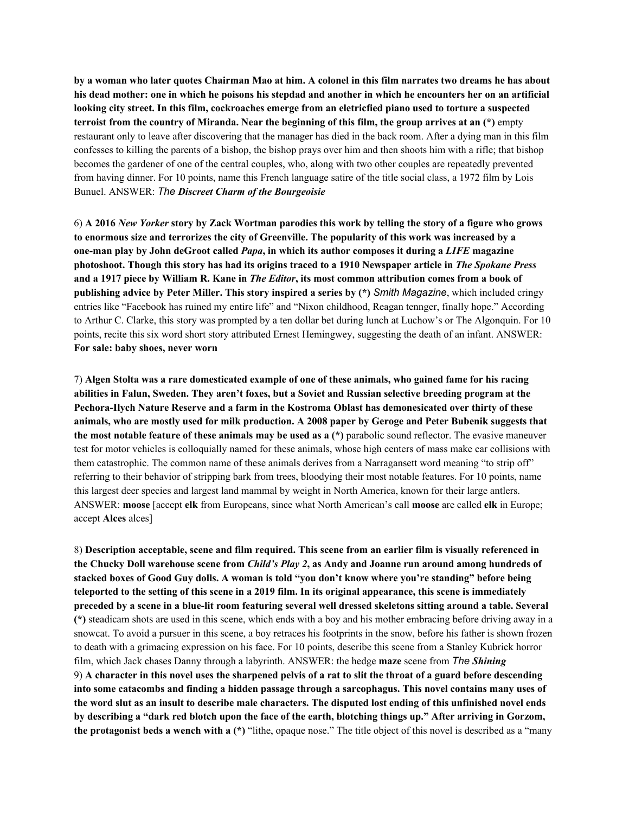by a woman who later quotes Chairman Mao at him. A colonel in this film narrates two dreams he has about his dead mother: one in which he poisons his stepdad and another in which he encounters her on an artificial looking city street. In this film, cockroaches emerge from an eletricfied piano used to torture a suspected terroist from the country of Miranda. Near the beginning of this film, the group arrives at an  $(*)$  empty restaurant only to leave after discovering that the manager has died in the back room. After a dying man in this film confesses to killing the parents of a bishop, the bishop prays over him and then shoots him with a rifle; that bishop becomes the gardener of one of the central couples, who, along with two other couples are repeatedly prevented from having dinner. For 10 points, name this French language satire of the title social class, a 1972 film by Lois Bunuel. ANSWER: *The Discreet Charm of the Bourgeoisie*

6) A 2016 New Yorker story by Zack Wortman parodies this work by telling the story of a figure who grows to enormous size and terrorizes the city of Greenville. The popularity of this work was increased by a **one-man play by John deGroot called** *Papa***, in which its author composes it during a** *LIFE* **magazine** photoshoot. Though this story has had its origins traced to a 1910 Newspaper article in The Spokane Press and a 1917 piece by William R. Kane in *The Editor*, its most common attribution comes from a book of **publishing advice by Peter Miller. This story inspired a series by (\*)** *Smith Magazine*, which included cringy entries like "Facebook has ruined my entire life" and "Nixon childhood, Reagan tennger, finally hope." According to Arthur C. Clarke, this story was prompted by a ten dollar bet during lunch at Luchow's or The Algonquin. For 10 points, recite this six word short story attributed Ernest Hemingwey, suggesting the death of an infant. ANSWER: **For sale: baby shoes, never worn**

7) Algen Stolta was a rare domesticated example of one of these animals, who gained fame for his racing **abilities in Falun, Sweden. They aren't foxes, but a Soviet and Russian selective breeding program at the Pechora-Ilych Nature Reserve and a farm in the Kostroma Oblast has demonesicated over thirty of these** animals, who are mostly used for milk production. A 2008 paper by Geroge and Peter Bubenik suggests that **the most notable feature of these animals may be used as a (\*)** parabolic sound reflector. The evasive maneuver test for motor vehicles is colloquially named for these animals, whose high centers of mass make car collisions with them catastrophic. The common name of these animals derives from a Narragansett word meaning "to strip off" referring to their behavior of stripping bark from trees, bloodying their most notable features. For 10 points, name this largest deer species and largest land mammal by weight in North America, known for their large antlers. ANSWER: **moose** [accept **elk** from Europeans, since what North American's call **moose** are called **elk** in Europe; accept **Alces** alces]

8) **Description acceptable, scene and film required. This scene from an earlier film is visually referenced in** the Chucky Doll warehouse scene from *Child's Play 2*, as Andy and Joanne run around among hundreds of stacked boxes of Good Guy dolls. A woman is told "you don't know where you're standing" before being teleported to the setting of this scene in a 2019 film. In its original appearance, this scene is immediately preceded by a scene in a blue-lit room featuring several well dressed skeletons sitting around a table. Several **(\*)** steadicam shots are used in this scene, which ends with a boy and his mother embracing before driving away in a snowcat. To avoid a pursuer in this scene, a boy retraces his footprints in the snow, before his father is shown frozen to death with a grimacing expression on his face. For 10 points, describe this scene from a Stanley Kubrick horror film, which Jack chases Danny through a labyrinth. ANSWER: the hedge **maze** scene from *The Shining* 9) A character in this novel uses the sharpened pelvis of a rat to slit the throat of a guard before descending **into some catacombs and finding a hidden passage through a sarcophagus. This novel contains many uses of** the word slut as an insult to describe male characters. The disputed lost ending of this unfinished novel ends by describing a "dark red blotch upon the face of the earth, blotching things up." After arriving in Gorzom, **the protagonist beds a wench with a (\*)** "lithe, opaque nose." The title object of this novel is described as a "many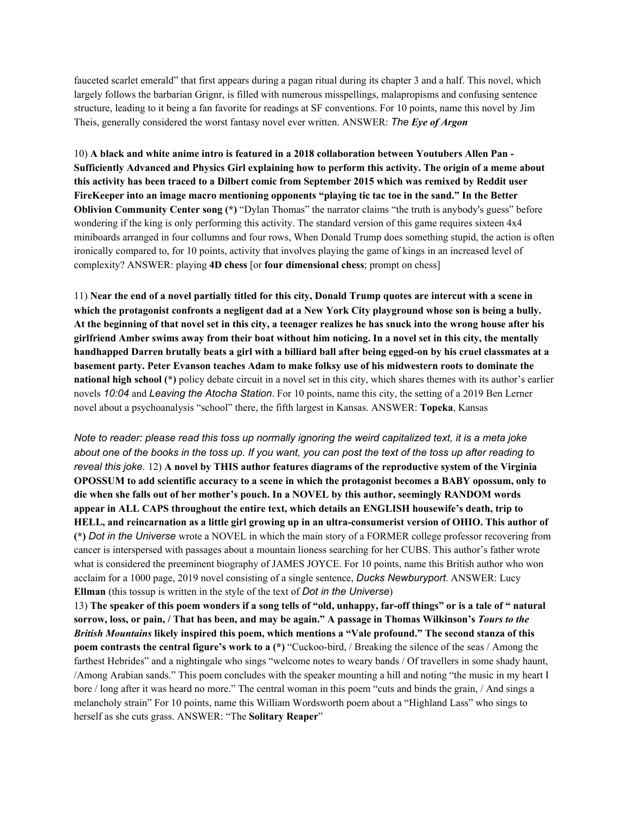fauceted scarlet emerald" that first appears during a pagan ritual during its chapter 3 and a half. This novel, which largely follows the barbarian Grignr, is filled with numerous misspellings, malapropisms and confusing sentence structure, leading to it being a fan favorite for readings at SF conventions. For 10 points, name this novel by Jim Theis, generally considered the worst fantasy novel ever written. ANSWER: *The Eye of Argon*

10) **A black and white anime intro is featured in a 2018 collaboration between Youtubers Allen Pan -** Sufficiently Advanced and Physics Girl explaining how to perform this activity. The origin of a meme about this activity has been traced to a Dilbert comic from September 2015 which was remixed by Reddit user **FireKeeper into an image macro mentioning opponents "playing tic tac toe in the sand." In the Better Oblivion Community Center song (\*)** "Dylan Thomas" the narrator claims "the truth is anybody's guess" before wondering if the king is only performing this activity. The standard version of this game requires sixteen 4x4 miniboards arranged in four collumns and four rows, When Donald Trump does something stupid, the action is often ironically compared to, for 10 points, activity that involves playing the game of kings in an increased level of complexity? ANSWER: playing **4D chess** [or **four dimensional chess**; prompt on chess]

11) Near the end of a novel partially titled for this city, Donald Trump quotes are intercut with a scene in which the protagonist confronts a negligent dad at a New York City playground whose son is being a bully. At the beginning of that novel set in this city, a teenager realizes he has snuck into the wrong house after his girlfriend Amber swims away from their boat without him noticing. In a novel set in this city, the mentally handhapped Darren brutally beats a girl with a billiard ball after being egged-on by his cruel classmates at a **basement party. Peter Evanson teaches Adam to make folksy use of his midwestern roots to dominate the national high school (\*)** policy debate circuit in a novel set in this city, which shares themes with its author's earlier novels *10:04* and *Leaving the Atocha Station*. For 10 points, name this city, the setting of a 2019 Ben Lerner novel about a psychoanalysis "school" there, the fifth largest in Kansas. ANSWER: **Topeka**, Kansas

Note to reader: please read this toss up normally ignoring the weird capitalized text, it is a meta joke about one of the books in the toss up. If you want, you can post the text of the toss up after reading to *reveal this joke.* 12) **A novel by THIS author features diagrams of the reproductive system of the Virginia** OPOSSUM to add scientific accuracy to a scene in which the protagonist becomes a BABY opossum, only to **die when she falls out of her mother's pouch. In a NOVEL by this author, seemingly RANDOM words appear in ALL CAPS throughout the entire text, which details an ENGLISH housewife's death, trip to** HELL, and reincarnation as a little girl growing up in an ultra-consumerist version of OHIO. This author of **(\*)** *Dot in the Universe* wrote a NOVEL in which the main story of a FORMER college professor recovering from cancer is interspersed with passages about a mountain lioness searching for her CUBS. This author's father wrote what is considered the preeminent biography of JAMES JOYCE. For 10 points, name this British author who won acclaim for a 1000 page, 2019 novel consisting of a single sentence, *Ducks Newburyport*. ANSWER: Lucy **Ellman** (this tossup is written in the style of the text of *Dot in the Universe*)

13) The speaker of this poem wonders if a song tells of "old, unhappy, far-off things" or is a tale of "natural sorrow, loss, or pain, / That has been, and may be again." A passage in Thomas Wilkinson's Tours to the *British Mountains* **likely inspired this poem, which mentions a "Vale profound." The second stanza of this poem contrasts the central figure's work to a (\*)** "Cuckoo-bird, / Breaking the silence of the seas / Among the farthest Hebrides" and a nightingale who sings "welcome notes to weary bands / Of travellers in some shady haunt, /Among Arabian sands." This poem concludes with the speaker mounting a hill and noting "the music in my heart I bore / long after it was heard no more." The central woman in this poem "cuts and binds the grain, / And sings a melancholy strain" For 10 points, name this William Wordsworth poem about a "Highland Lass" who sings to herself as she cuts grass. ANSWER: "The **Solitary Reaper**"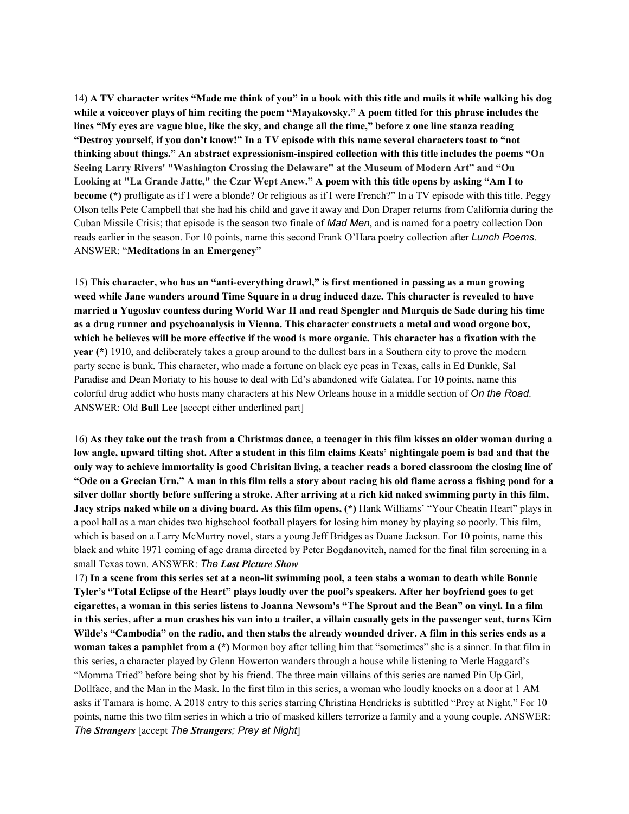14) A TV character writes "Made me think of you" in a book with this title and mails it while walking his dog while a voiceover plays of him reciting the poem "Mayakovsky." A poem titled for this phrase includes the lines "My eyes are vague blue, like the sky, and change all the time," before z one line stanza reading "Destroy yourself, if you don't know!" In a TV episode with this name several characters toast to "not **thinking about things." An abstract expressionism-inspired collection with this title includes the poems "On Seeing Larry Rivers' "Washington Crossing the Delaware" at the Museum of Modern Art" and "On** Looking at "La Grande Jatte," the Czar Wept Anew." A poem with this title opens by asking "Am I to **become** (\*) profligate as if I were a blonde? Or religious as if I were French?" In a TV episode with this title, Peggy Olson tells Pete Campbell that she had his child and gave it away and Don Draper returns from California during the Cuban Missile Crisis; that episode is the season two finale of *Mad Men*, and is named for a poetry collection Don reads earlier in the season. For 10 points, name this second Frank O'Hara poetry collection after *Lunch Poems*. ANSWER: "**Meditations in an Emergency**"

15) **This character, who has an "anti-everything drawl," is first mentioned in passing as a man growing** weed while Jane wanders around Time Square in a drug induced daze. This character is revealed to have married a Yugoslav countess during World War II and read Spengler and Marquis de Sade during his time **as a drug runner and psychoanalysis in Vienna. This character constructs a metal and wood orgone box,** which he believes will be more effective if the wood is more organic. This character has a fixation with the **year (\*)** 1910, and deliberately takes a group around to the dullest bars in a Southern city to prove the modern party scene is bunk. This character, who made a fortune on black eye peas in Texas, calls in Ed Dunkle, Sal Paradise and Dean Moriaty to his house to deal with Ed's abandoned wife Galatea. For 10 points, name this colorful drug addict who hosts many characters at his New Orleans house in a middle section of *On the Road*. ANSWER: Old **Bull Lee** [accept either underlined part]

16) As they take out the trash from a Christmas dance, a teenager in this film kisses an older woman during a low angle, upward tilting shot. After a student in this film claims Keats' nightingale poem is bad and that the only way to achieve immortality is good Chrisitan living, a teacher reads a bored classroom the closing line of "Ode on a Grecian Urn." A man in this film tells a story about racing his old flame across a fishing pond for a silver dollar shortly before suffering a stroke. After arriving at a rich kid naked swimming party in this film, **Jacy strips naked while on a diving board. As this film opens, (\*)** Hank Williams' "Your Cheatin Heart" plays in a pool hall as a man chides two highschool football players for losing him money by playing so poorly. This film, which is based on a Larry McMurtry novel, stars a young Jeff Bridges as Duane Jackson. For 10 points, name this black and white 1971 coming of age drama directed by Peter Bogdanovitch, named for the final film screening in a small Texas town. ANSWER: *The Last Picture Show*

17) In a scene from this series set at a neon-lit swimming pool, a teen stabs a woman to death while Bonnie Tyler's "Total Eclipse of the Heart" plays loudly over the pool's speakers. After her boyfriend goes to get cigarettes, a woman in this series listens to Joanna Newsom's "The Sprout and the Bean" on vinyl. In a film in this series, after a man crashes his van into a trailer, a villain casually gets in the passenger seat, turns Kim Wilde's "Cambodia" on the radio, and then stabs the already wounded driver. A film in this series ends as a **woman takes a pamphlet from a (\*)** Mormon boy after telling him that "sometimes" she is a sinner. In that film in this series, a character played by Glenn Howerton wanders through a house while listening to Merle Haggard's "Momma Tried" before being shot by his friend. The three main villains of this series are named Pin Up Girl, Dollface, and the Man in the Mask. In the first film in this series, a woman who loudly knocks on a door at 1 AM asks if Tamara is home. A 2018 entry to this series starring Christina Hendricks is subtitled "Prey at Night." For 10 points, name this two film series in which a trio of masked killers terrorize a family and a young couple. ANSWER: *The Strangers* [accept *The Strangers; Prey at Night*]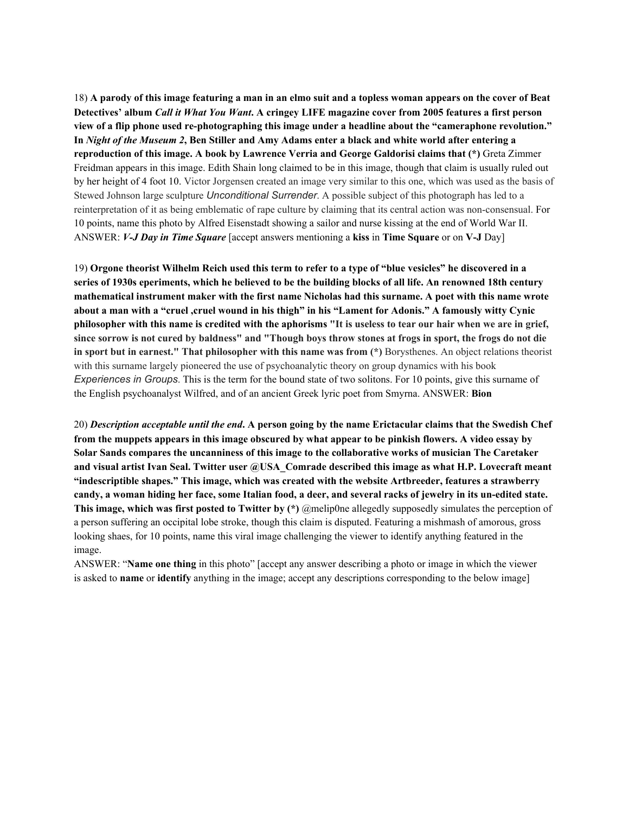18) A parody of this image featuring a man in an elmo suit and a topless woman appears on the cover of Beat Detectives' album Call it What You Want. A cringey LIFE magazine cover from 2005 features a first person **view of a flip phone used re-photographing this image under a headline about the "cameraphone revolution."** In Night of the Museum 2, Ben Stiller and Amy Adams enter a black and white world after entering a **reproduction of this image. A book by Lawrence Verria and George Galdorisi claims that (\*)** Greta Zimmer Freidman appears in this image. Edith Shain long claimed to be in this image, though that claim is usually ruled out by her height of 4 foot 10. Victor Jorgensen created an image very similar to this one, which was used as the basis of Stewed Johnson large sculpture *Unconditional Surrender*. A possible subject of this photograph has led to a reinterpretation of it as being emblematic of rape culture by claiming that its central action was non-consensual. For 10 points, name this photo by Alfred Eisenstadt showing a sailor and nurse kissing at the end of World War II. ANSWER: *V-J Day in Time Square* [accept answers mentioning a **kiss** in **Time Square** or on **V-J** Day]

19) Orgone theorist Wilhelm Reich used this term to refer to a type of "blue vesicles" he discovered in a series of 1930s eperiments, which he believed to be the building blocks of all life. An renowned 18th century **mathematical instrument maker with the first name Nicholas had this surname. A poet with this name wrote** about a man with a "cruel ,cruel wound in his thigh" in his "Lament for Adonis." A famously witty Cynic philosopher with this name is credited with the aphorisms "It is useless to tear our hair when we are in grief, since sorrow is not cured by baldness" and "Though boys throw stones at frogs in sport, the frogs do not die **in sport but in earnest." That philosopher with this name was from (\*)** Borysthenes. An object relations theorist with this surname largely pioneered the use of psychoanalytic theory on group dynamics with his book *Experiences in Groups*. This is the term for the bound state of two solitons. For 10 points, give this surname of the English psychoanalyst Wilfred, and of an ancient Greek lyric poet from Smyrna. ANSWER: **Bion**

20) Description acceptable until the end. A person going by the name Erictacular claims that the Swedish Chef from the muppets appears in this image obscured by what appear to be pinkish flowers. A video essay by **Solar Sands compares the uncanniness of this image to the collaborative works of musician The Caretaker and visual artist Ivan Seal. Twitter user @USA\_Comrade described this image as what H.P. Lovecraft meant "indescriptible shapes." This image, which was created with the website Artbreeder, features a strawberry** candy, a woman hiding her face, some Italian food, a deer, and several racks of jewelry in its un-edited state. **This image, which was first posted to Twitter by (\*)** @melip0ne allegedly supposedly simulates the perception of a person suffering an occipital lobe stroke, though this claim is disputed. Featuring a mishmash of amorous, gross looking shaes, for 10 points, name this viral image challenging the viewer to identify anything featured in the image.

ANSWER: "**Name one thing** in this photo" [accept any answer describing a photo or image in which the viewer is asked to **name** or **identify** anything in the image; accept any descriptions corresponding to the below image]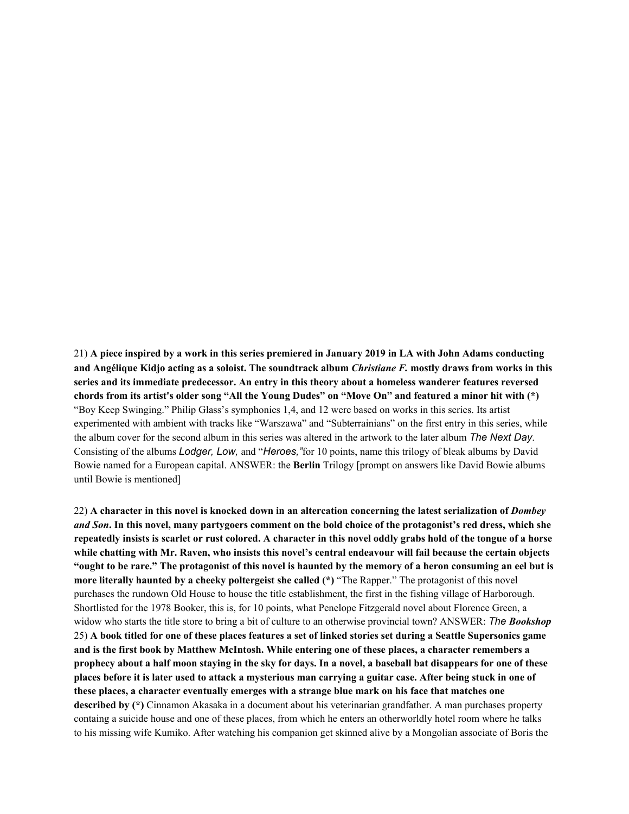21) A piece inspired by a work in this series premiered in January 2019 in LA with John Adams conducting and Angélique Kidjo acting as a soloist. The soundtrack album *Christiane F*. mostly draws from works in this **series and its immediate predecessor. An entry in this theory about a homeless wanderer features reversed** chords from its artist's older song "All the Young Dudes" on "Move On" and featured a minor hit with (\*) "Boy Keep Swinging." Philip Glass's symphonies 1,4, and 12 were based on works in this series. Its artist experimented with ambient with tracks like "Warszawa" and "Subterrainians" on the first entry in this series, while the album cover for the second album in this series was altered in the artwork to the later album *The Next Day*. Consisting of the albums *Lodger, Low,* and "*Heroes,"*for 10 points, name this trilogy of bleak albums by David Bowie named for a European capital. ANSWER: the **Berlin** Trilogy [prompt on answers like David Bowie albums until Bowie is mentioned]

22) A character in this novel is knocked down in an altercation concerning the latest serialization of *Dombey* and Son. In this novel, many partygoers comment on the bold choice of the protagonist's red dress, which she repeatedly insists is scarlet or rust colored. A character in this novel oddly grabs hold of the tongue of a horse while chatting with Mr. Raven, who insists this novel's central endeavour will fail because the certain objects "ought to be rare." The protagonist of this novel is haunted by the memory of a heron consuming an eel but is **more literally haunted by a cheeky poltergeist she called (\*)** "The Rapper." The protagonist of this novel purchases the rundown Old House to house the title establishment, the first in the fishing village of Harborough. Shortlisted for the 1978 Booker, this is, for 10 points, what Penelope Fitzgerald novel about Florence Green, a widow who starts the title store to bring a bit of culture to an otherwise provincial town? ANSWER: *The Bookshop* 25) A book titled for one of these places features a set of linked stories set during a Seattle Supersonics game and is the first book by Matthew McIntosh. While entering one of these places, a character remembers a prophecy about a half moon staying in the sky for days. In a novel, a baseball bat disappears for one of these places before it is later used to attack a mysterious man carrying a guitar case. After being stuck in one of **these places, a character eventually emerges with a strange blue mark on his face that matches one described by (\*)** Cinnamon Akasaka in a document about his veterinarian grandfather. A man purchases property containg a suicide house and one of these places, from which he enters an otherworldly hotel room where he talks to his missing wife Kumiko. After watching his companion get skinned alive by a Mongolian associate of Boris the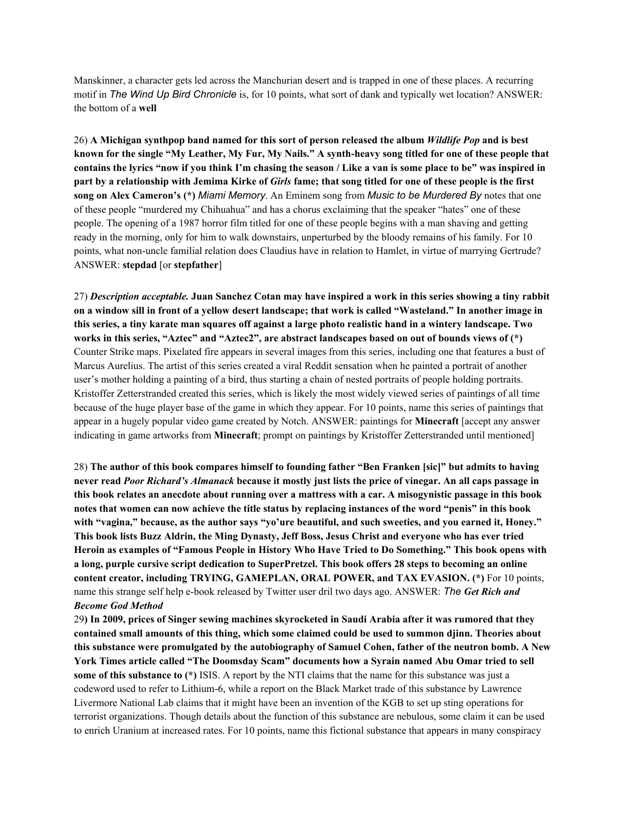Manskinner, a character gets led across the Manchurian desert and is trapped in one of these places. A recurring motif in *The Wind Up Bird Chronicle* is, for 10 points, what sort of dank and typically wet location? ANSWER: the bottom of a **well**

26) A Michigan synthpop band named for this sort of person released the album Wildlife Pop and is best known for the single "My Leather, My Fur, My Nails." A synth-heavy song titled for one of these people that contains the lyrics "now if you think I'm chasing the season / Like a van is some place to be" was inspired in part by a relationship with Jemima Kirke of Girls fame; that song titled for one of these people is the first **song on Alex Cameron's (\*)** *Miami Memory*. An Eminem song from *Music to be Murdered By* notes that one of these people "murdered my Chihuahua" and has a chorus exclaiming that the speaker "hates" one of these people. The opening of a 1987 horror film titled for one of these people begins with a man shaving and getting ready in the morning, only for him to walk downstairs, unperturbed by the bloody remains of his family. For 10 points, what non-uncle familial relation does Claudius have in relation to Hamlet, in virtue of marrying Gertrude? ANSWER: **stepdad** [or **stepfather**]

27) Description acceptable. Juan Sanchez Cotan may have inspired a work in this series showing a tiny rabbit on a window sill in front of a yellow desert landscape; that work is called "Wasteland." In another image in this series, a tiny karate man squares off against a large photo realistic hand in a wintery landscape. Two works in this series, "Aztec" and "Aztec2", are abstract landscapes based on out of bounds views of (\*) Counter Strike maps. Pixelated fire appears in several images from this series, including one that features a bust of Marcus Aurelius. The artist of this series created a viral Reddit sensation when he painted a portrait of another user's mother holding a painting of a bird, thus starting a chain of nested portraits of people holding portraits. Kristoffer Zetterstranded created this series, which is likely the most widely viewed series of paintings of all time because of the huge player base of the game in which they appear. For 10 points, name this series of paintings that appear in a hugely popular video game created by Notch. ANSWER: paintings for **Minecraft** [accept any answer indicating in game artworks from **Minecraft**; prompt on paintings by Kristoffer Zetterstranded until mentioned]

28) **The author of this book compares himself to founding father "Ben Franken [sic]" but admits to having** never read Poor Richard's Almanack because it mostly just lists the price of vinegar. An all caps passage in this book relates an anecdote about running over a mattress with a car. A misogynistic passage in this book notes that women can now achieve the title status by replacing instances of the word "penis" in this book with "vagina," because, as the author says "yo'ure beautiful, and such sweeties, and you earned it, Honey." This book lists Buzz Aldrin, the Ming Dynasty, Jeff Boss, Jesus Christ and everyone who has ever tried Heroin as examples of "Famous People in History Who Have Tried to Do Something." This book opens with **a long, purple cursive script dedication to SuperPretzel. This book offers 28 steps to becoming an online content creator, including TRYING, GAMEPLAN, ORAL POWER, and TAX EVASION. (\*)** For 10 points, name this strange self help e-book released by Twitter user dril two days ago. ANSWER: *The Get Rich and Become God Method*

29) In 2009, prices of Singer sewing machines skyrocketed in Saudi Arabia after it was rumored that they **contained small amounts of this thing, which some claimed could be used to summon djinn. Theories about this substance were promulgated by the autobiography of Samuel Cohen, father of the neutron bomb. A New York Times article called "The Doomsday Scam" documents how a Syrain named Abu Omar tried to sell some of this substance to (\*)** ISIS. A report by the NTI claims that the name for this substance was just a codeword used to refer to Lithium-6, while a report on the Black Market trade of this substance by Lawrence Livermore National Lab claims that it might have been an invention of the KGB to set up sting operations for terrorist organizations. Though details about the function of this substance are nebulous, some claim it can be used to enrich Uranium at increased rates. For 10 points, name this fictional substance that appears in many conspiracy